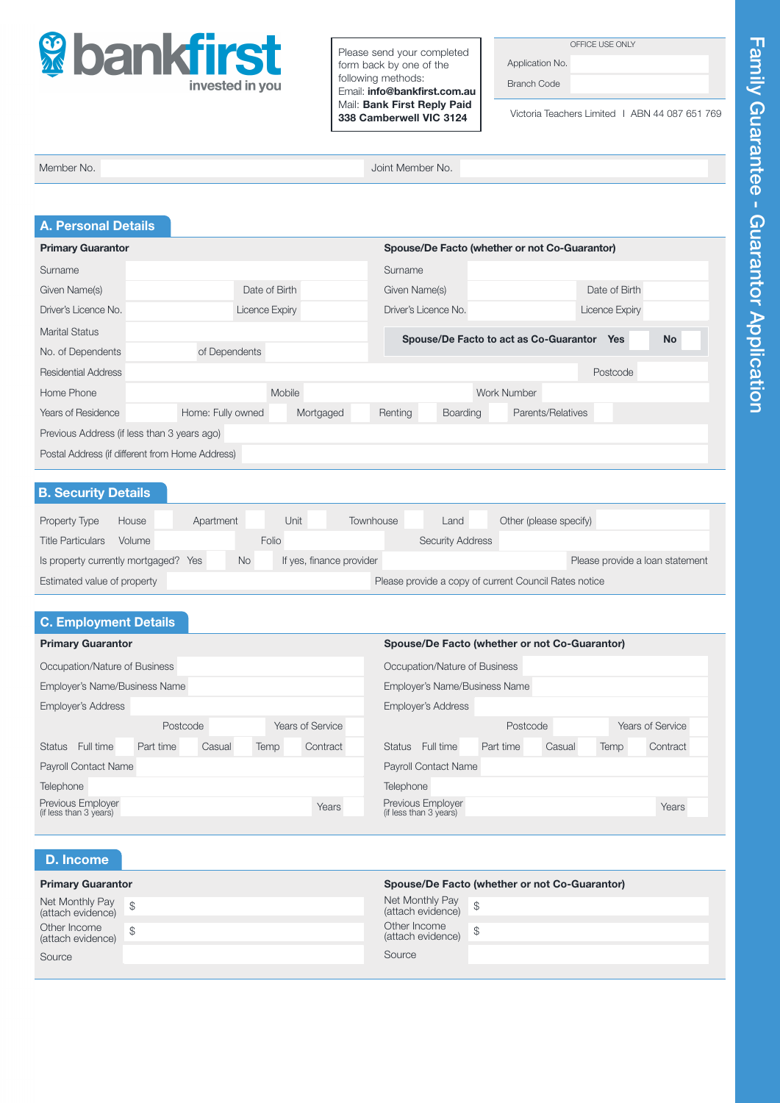

Please send your completed form back by one of the following methods: Email: info@bankfirst.com.au Mail: Bank First Reply Paid 338 Camberwell VIC 3124

OFFICE USE ONLY

Application No. Branch Code

Victoria Teachers Limited I ABN 44 087 651 769

Member No. Joint Member No.

| <b>A. Personal Details</b>                      |                                |                                                                   |
|-------------------------------------------------|--------------------------------|-------------------------------------------------------------------|
| <b>Primary Guarantor</b>                        |                                | Spouse/De Facto (whether or not Co-Guarantor)                     |
| Surname                                         |                                | Surname                                                           |
| Given Name(s)                                   | Date of Birth                  | Date of Birth<br>Given Name(s)                                    |
| Driver's Licence No.                            | Licence Expiry                 | Driver's Licence No.<br>Licence Expiry                            |
| Marital Status                                  |                                | Spouse/De Facto to act as Co-Guarantor<br><b>No</b><br><b>Yes</b> |
| No. of Dependents                               | of Dependents                  |                                                                   |
| <b>Residential Address</b>                      |                                | Postcode                                                          |
| Home Phone                                      | Mobile                         | Work Number                                                       |
| <b>Years of Residence</b>                       | Home: Fully owned<br>Mortgaged | Parents/Relatives<br>Renting<br><b>Boarding</b>                   |
| Previous Address (if less than 3 years ago)     |                                |                                                                   |
| Postal Address (if different from Home Address) |                                |                                                                   |

## B. Security Details

| Property Type                    | House  | Apartment |           | Unit .                   | Townhouse | Land                    | Other (please specify)                                |                                 |
|----------------------------------|--------|-----------|-----------|--------------------------|-----------|-------------------------|-------------------------------------------------------|---------------------------------|
| <b>Title Particulars</b>         | Volume |           | Folio     |                          |           | <b>Security Address</b> |                                                       |                                 |
| Is property currently mortgaged? |        | Yes       | <b>No</b> | If yes, finance provider |           |                         |                                                       | Please provide a loan statement |
| Estimated value of property      |        |           |           |                          |           |                         | Please provide a copy of current Council Rates notice |                                 |

| <b>C. Employment Details</b>                |           |                  |                           |                                               |                                             |           |        |      |                  |
|---------------------------------------------|-----------|------------------|---------------------------|-----------------------------------------------|---------------------------------------------|-----------|--------|------|------------------|
| <b>Primary Guarantor</b>                    |           |                  |                           | Spouse/De Facto (whether or not Co-Guarantor) |                                             |           |        |      |                  |
| Occupation/Nature of Business               |           |                  |                           |                                               | Occupation/Nature of Business               |           |        |      |                  |
| Employer's Name/Business Name               |           |                  |                           |                                               | Employer's Name/Business Name               |           |        |      |                  |
| <b>Employer's Address</b>                   |           |                  | <b>Employer's Address</b> |                                               |                                             |           |        |      |                  |
|                                             | Postcode  | Years of Service |                           |                                               |                                             | Postcode  |        |      | Years of Service |
| Full time<br><b>Status</b>                  | Part time | Casual           | Temp                      | Contract                                      | Status Full time                            | Part time | Casual | Temp | Contract         |
| <b>Payroll Contact Name</b>                 |           |                  |                           |                                               | <b>Payroll Contact Name</b>                 |           |        |      |                  |
| Telephone                                   |           |                  |                           |                                               | Telephone                                   |           |        |      |                  |
| Previous Employer<br>(if less than 3 years) |           |                  |                           | Years                                         | Previous Employer<br>(if less than 3 years) |           |        |      | Years            |

| <b>D.</b> Income                     |               |                                         |                                               |
|--------------------------------------|---------------|-----------------------------------------|-----------------------------------------------|
| <b>Primary Guarantor</b>             |               |                                         | Spouse/De Facto (whether or not Co-Guarantor) |
| Net Monthly Pay<br>(attach evidence) |               | Net Monthly Pay<br>(attach evidence) \$ |                                               |
| Other Income<br>(attach evidence)    | $\mathcal{S}$ | Other Income<br>(attach evidence) \$    |                                               |
| Source                               |               | Source                                  |                                               |
|                                      |               |                                         |                                               |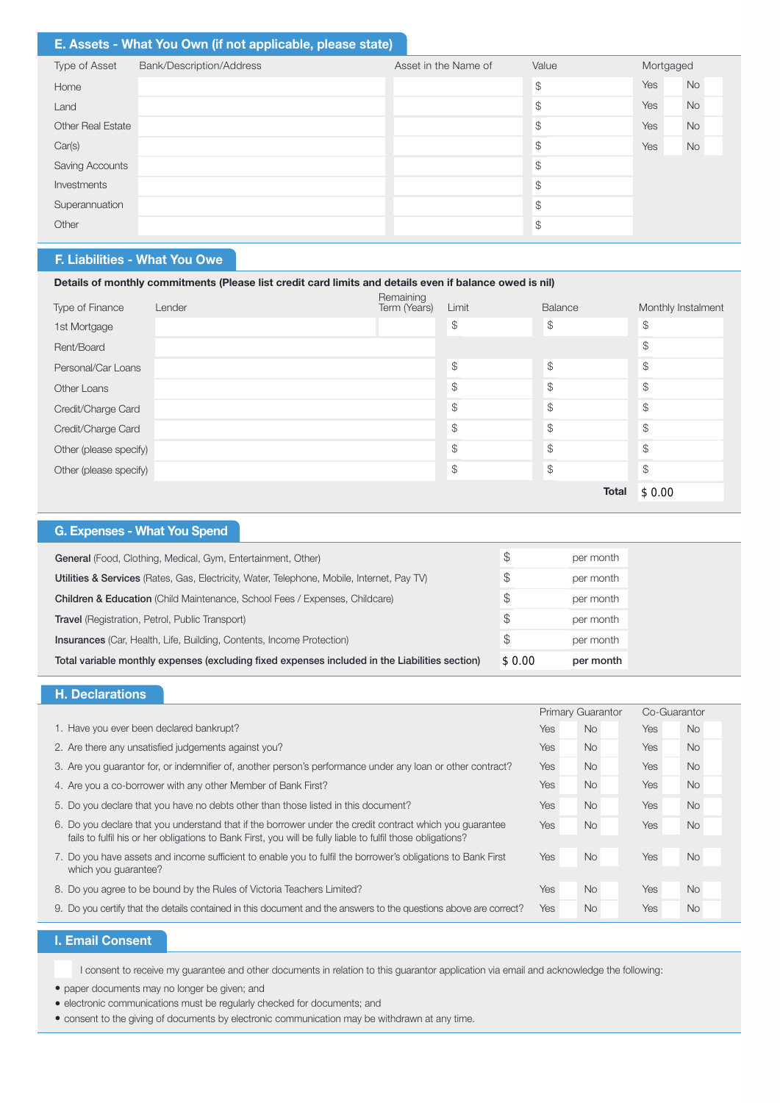# E. Assets - What You Own (if not applicable, please state)

| Type of Asset            | Bank/Description/Address | Asset in the Name of | Value         | Mortgaged |           |
|--------------------------|--------------------------|----------------------|---------------|-----------|-----------|
| Home                     |                          |                      | $\mathcal{S}$ | Yes       | <b>No</b> |
| Land                     |                          |                      | $\mathcal{S}$ | Yes       | <b>No</b> |
| <b>Other Real Estate</b> |                          |                      | \$            | Yes       | <b>No</b> |
| Car(s)                   |                          |                      | $\mathcal{S}$ | Yes       | <b>No</b> |
| Saving Accounts          |                          |                      | $\mathcal{L}$ |           |           |
| Investments              |                          |                      | $\mathcal{S}$ |           |           |
| Superannuation           |                          |                      | $\mathcal{L}$ |           |           |
| Other                    |                          |                      | $\frac{1}{2}$ |           |           |

# F. Liabilities - What You Owe

# Details of monthly commitments (Please list credit card limits and details even if balance owed is nil)

| Type of Finance        | Lender | Remaining<br>Term (Years) | Limit         | Balance       | Monthly Instalment |
|------------------------|--------|---------------------------|---------------|---------------|--------------------|
| 1st Mortgage           |        |                           | \$            | $\frac{1}{2}$ | \$                 |
| Rent/Board             |        |                           |               |               | \$                 |
| Personal/Car Loans     |        |                           | $\mathcal{L}$ | $\mathcal{L}$ | \$                 |
| Other Loans            |        |                           | \$            | $\mathcal{L}$ | \$                 |
| Credit/Charge Card     |        |                           | \$            | $\mathcal{L}$ | \$                 |
| Credit/Charge Card     |        |                           | \$            | $\frac{1}{2}$ | \$                 |
| Other (please specify) |        |                           | \$            | $\mathcal{L}$ | \$                 |
| Other (please specify) |        |                           | \$            | $\frac{1}{2}$ | \$                 |
|                        |        |                           |               | <b>Total</b>  | \$0.00             |

## G. Expenses - What You Spend

| General (Food, Clothing, Medical, Gym, Entertainment, Other)                                   | S      | per month |
|------------------------------------------------------------------------------------------------|--------|-----------|
| Utilities & Services (Rates, Gas, Electricity, Water, Telephone, Mobile, Internet, Pay TV)     |        | per month |
| <b>Children &amp; Education</b> (Child Maintenance, School Fees / Expenses, Childcare)         |        | per month |
| <b>Travel</b> (Registration, Petrol, Public Transport)                                         | \$.    | per month |
| <b>Insurances</b> (Car, Health, Life, Building, Contents, Income Protection)                   |        | per month |
| Total variable monthly expenses (excluding fixed expenses included in the Liabilities section) | \$0.00 | per month |

### H. Declarations

|                                                                                                                                                                                                                         |            | <b>Primary Guarantor</b> | Co-Guarantor |           |
|-------------------------------------------------------------------------------------------------------------------------------------------------------------------------------------------------------------------------|------------|--------------------------|--------------|-----------|
| 1. Have you ever been declared bankrupt?                                                                                                                                                                                | <b>Yes</b> | <b>No</b>                | <b>Yes</b>   | No.       |
| 2. Are there any unsatisfied judgements against you?                                                                                                                                                                    | <b>Yes</b> | <b>No</b>                | <b>Yes</b>   | <b>No</b> |
| 3. Are you quarantor for, or indemnifier of, another person's performance under any loan or other contract?                                                                                                             | <b>Yes</b> | <b>No</b>                | <b>Yes</b>   | <b>No</b> |
| 4. Are you a co-borrower with any other Member of Bank First?                                                                                                                                                           | <b>Yes</b> | <b>No</b>                | <b>Yes</b>   | <b>No</b> |
| 5. Do you declare that you have no debts other than those listed in this document?                                                                                                                                      | <b>Yes</b> | <b>No</b>                | Yes          | <b>No</b> |
| 6. Do you declare that you understand that if the borrower under the credit contract which you quarantee<br>fails to fulfil his or her obligations to Bank First, you will be fully liable to fulfil those obligations? | <b>Yes</b> | <b>No</b>                | <b>Yes</b>   | <b>No</b> |
| 7. Do you have assets and income sufficient to enable you to fulfil the borrower's obligations to Bank First<br>which you quarantee?                                                                                    | <b>Yes</b> | <b>No</b>                | Yes          | <b>No</b> |
| 8. Do you agree to be bound by the Rules of Victoria Teachers Limited?                                                                                                                                                  | <b>Yes</b> | No                       | <b>Yes</b>   | <b>No</b> |
| 9. Do you certify that the details contained in this document and the answers to the questions above are correct?                                                                                                       | Yes        | <b>No</b>                | <b>Yes</b>   | <b>No</b> |

# I. Email Consent

I consent to receive my guarantee and other documents in relation to this guarantor application via email and acknowledge the following:

- paper documents may no longer be given; and
- l electronic communications must be regularly checked for documents; and
- l consent to the giving of documents by electronic communication may be withdrawn at any time.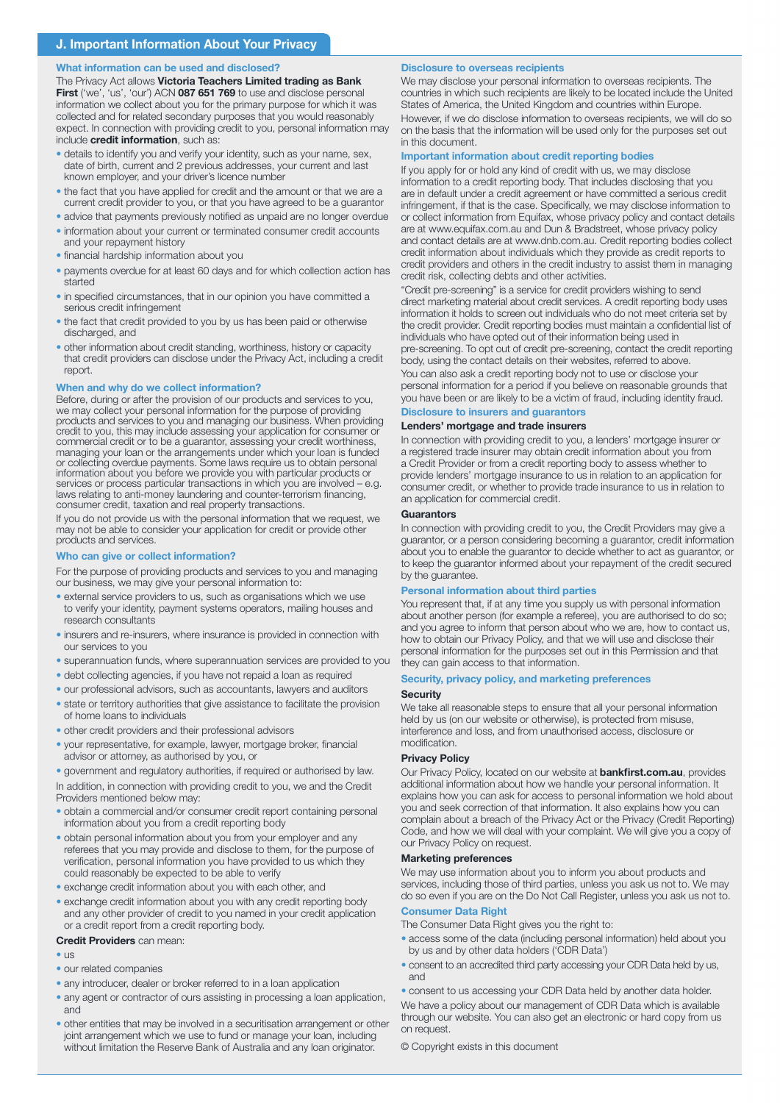#### What information can be used and disclosed?

The Privacy Act allows Victoria Teachers Limited trading as Bank First ('we', 'us', 'our') ACN 087 651 769 to use and disclose personal information we collect about you for the primary purpose for which it was collected and for related secondary purposes that you would reasonably expect. In connection with providing credit to you, personal information may include credit information, such as:

- details to identify you and verify your identity, such as your name, sex, date of birth, current and 2 previous addresses, your current and last known employer, and your driver's licence number
- the fact that you have applied for credit and the amount or that we are a current credit provider to you, or that you have agreed to be a guarantor
- advice that payments previously notified as unpaid are no longer overdue
- information about your current or terminated consumer credit accounts and your repayment history
- financial hardship information about you
- payments overdue for at least 60 days and for which collection action has started
- in specified circumstances, that in our opinion you have committed a serious credit infringement
- the fact that credit provided to you by us has been paid or otherwise discharged, and
- other information about credit standing, worthiness, history or capacity that credit providers can disclose under the Privacy Act, including a credit report.

#### When and why do we collect information?

Before, during or after the provision of our products and services to you, we may collect your personal information for the purpose of providing products and services to you and managing our business. When providing credit to you, this may include assessing your application for consumer or commercial credit or to be a guarantor, assessing your credit worthiness, managing your loan or the arrangements under which your loan is funded or collecting overdue payments. Some laws require us to obtain personal information about you before we provide you with particular products or services or process particular transactions in which you are involved – e.g. laws relating to anti-money laundering and counter-terrorism financing, consumer credit, taxation and real property transactions.

If you do not provide us with the personal information that we request, we may not be able to consider your application for credit or provide other products and services.

#### Who can give or collect information?

For the purpose of providing products and services to you and managing our business, we may give your personal information to:

- external service providers to us, such as organisations which we use to verify your identity, payment systems operators, mailing houses and research consultants
- insurers and re-insurers, where insurance is provided in connection with our services to you
- superannuation funds, where superannuation services are provided to you
- debt collecting agencies, if you have not repaid a loan as required
- our professional advisors, such as accountants, lawyers and auditors
- state or territory authorities that give assistance to facilitate the provision of home loans to individuals
- other credit providers and their professional advisors
- your representative, for example, lawyer, mortgage broker, financial advisor or attorney, as authorised by you, or

In addition, in connection with providing credit to you, we and the Credit Providers mentioned below may: • government and regulatory authorities, if required or authorised by law.

- obtain a commercial and/or consumer credit report containing personal information about you from a credit reporting body
- obtain personal information about you from your employer and any referees that you may provide and disclose to them, for the purpose of verification, personal information you have provided to us which they could reasonably be expected to be able to verify
- exchange credit information about you with each other, and
- exchange credit information about you with any credit reporting body and any other provider of credit to you named in your credit application or a credit report from a credit reporting body.

#### Credit Providers can mean:

- us
- our related companies
- any introducer, dealer or broker referred to in a loan application
- any agent or contractor of ours assisting in processing a loan application, and
- other entities that may be involved in a securitisation arrangement or other joint arrangement which we use to fund or manage your loan, including without limitation the Reserve Bank of Australia and any loan originator.

#### Disclosure to overseas recipients

We may disclose your personal information to overseas recipients. The countries in which such recipients are likely to be located include the United States of America, the United Kingdom and countries within Europe. However, if we do disclose information to overseas recipients, we will do so on the basis that the information will be used only for the purposes set out in this document.

#### Important information about credit reporting bodies

If you apply for or hold any kind of credit with us, we may disclose information to a credit reporting body. That includes disclosing that you are in default under a credit agreement or have committed a serious credit infringement, if that is the case. Specifically, we may disclose information to or collect information from Equifax, whose privacy policy and contact details are at www.equifax.com.au and Dun & Bradstreet, whose privacy policy and contact details are at www.dnb.com.au. Credit reporting bodies collect credit information about individuals which they provide as credit reports to credit providers and others in the credit industry to assist them in managing credit risk, collecting debts and other activities.

"Credit pre-screening" is a service for credit providers wishing to send direct marketing material about credit services. A credit reporting body uses information it holds to screen out individuals who do not meet criteria set by the credit provider. Credit reporting bodies must maintain a confidential list of individuals who have opted out of their information being used in pre-screening. To opt out of credit pre-screening, contact the credit reporting body, using the contact details on their websites, referred to above.

You can also ask a credit reporting body not to use or disclose your personal information for a period if you believe on reasonable grounds that you have been or are likely to be a victim of fraud, including identity fraud.

# Disclosure to insurers and guarantors

### Lenders' mortgage and trade insurers

In connection with providing credit to you, a lenders' mortgage insurer or a registered trade insurer may obtain credit information about you from a Credit Provider or from a credit reporting body to assess whether to provide lenders' mortgage insurance to us in relation to an application for consumer credit, or whether to provide trade insurance to us in relation to an application for commercial credit.

#### **Guarantors**

In connection with providing credit to you, the Credit Providers may give a guarantor, or a person considering becoming a guarantor, credit information about you to enable the guarantor to decide whether to act as guarantor, or to keep the guarantor informed about your repayment of the credit secured by the guarantee.

#### Personal information about third parties

You represent that, if at any time you supply us with personal information about another person (for example a referee), you are authorised to do so; and you agree to inform that person about who we are, how to contact us, how to obtain our Privacy Policy, and that we will use and disclose their personal information for the purposes set out in this Permission and that they can gain access to that information.

#### Security, privacy policy, and marketing preferences

#### **Security**

We take all reasonable steps to ensure that all your personal information held by us (on our website or otherwise), is protected from misuse, interference and loss, and from unauthorised access, disclosure or modification.

#### Privacy Policy

Our Privacy Policy, located on our website at **bankfirst.com.au**, provides additional information about how we handle your personal information. It explains how you can ask for access to personal information we hold about you and seek correction of that information. It also explains how you can complain about a breach of the Privacy Act or the Privacy (Credit Reporting) Code, and how we will deal with your complaint. We will give you a copy of our Privacy Policy on request.

#### Marketing preferences

We may use information about you to inform you about products and services, including those of third parties, unless you ask us not to. We may do so even if you are on the Do Not Call Register, unless you ask us not to.

### Consumer Data Right

The Consumer Data Right gives you the right to:

- access some of the data (including personal information) held about you by us and by other data holders ('CDR Data')
- consent to an accredited third party accessing your CDR Data held by us, and

We have a policy about our management of CDR Data which is available through our website. You can also get an electronic or hard copy from us on request. • consent to us accessing your CDR Data held by another data holder.

© Copyright exists in this document